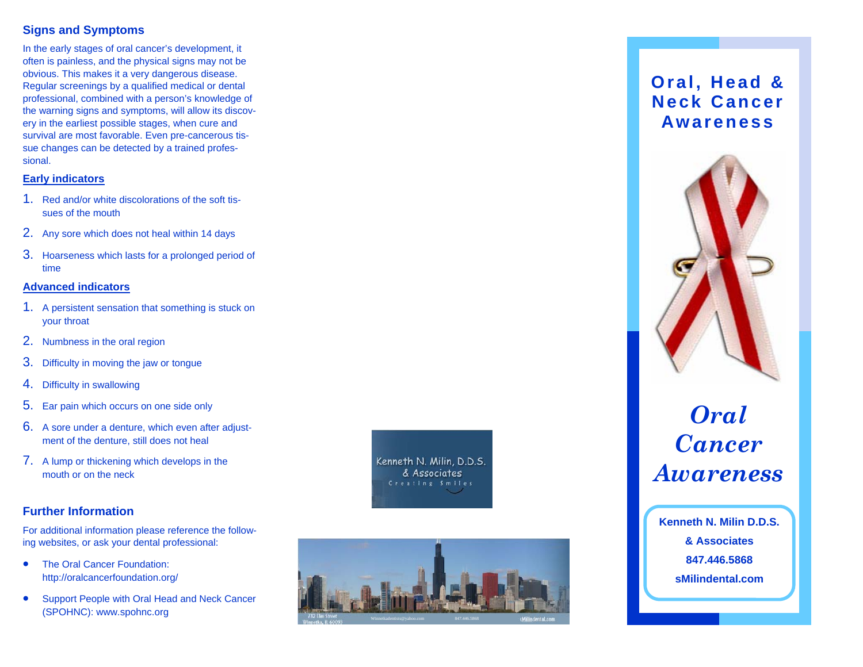## **Signs and Symptoms**

In the early stages of oral cancer's development, it often is painless, and the physical signs may not be obvious. This makes it a very dangerous disease. Regular screenings by a qualified medical or dental professional, combined with a person's knowledge of the warning signs and symptoms, will allow its discovery in the earliest possible stages, when cure and survival are most favorable. Even pre-cancerous tissue changes can be detected by a trained professional.

## **Early indicators**

- 1. Red and/or white discolorations of the soft tissues of the mouth
- 2. Any sore which does not heal within 14 days
- 3. Hoarseness which lasts for a prolonged period of time

#### **Advanced indicators**

- 1. A persistent sensation that something is stuck on your throat
- 2. Numbness in the oral region
- 3. Difficulty in moving the jaw or tongue
- 4. Difficulty in swallowing
- 5. Ear pain which occurs on one side only
- 6. A sore under a denture, which even after adjustment of the denture, still does not heal
- 7. A lump or thickening which develops in the mouth or on the neck

### **Further Information**

For additional information please reference the following websites, or ask your dental professional:

- $\bullet$  The Oral Cancer Foundation: http://oralcancerfoundation.org/
- $\bullet$  Support People with Oral Head and Neck Cancer (SPOHNC): www.spohnc.org

Kenneth N. Milin, D.D.S. & Associates Creating Smiles



## **Oral, Head & Neck Cancer Awareness**



# *Oral Cancer Awareness*

**Kenneth N. Milin D.D.S. & Associates 847.446.5868 sMilindental.com**